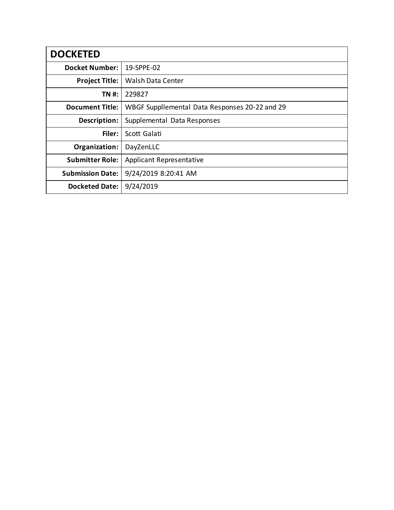| <b>DOCKETED</b>         |                                                |
|-------------------------|------------------------------------------------|
| <b>Docket Number:</b>   | 19-SPPE-02                                     |
| <b>Project Title:</b>   | Walsh Data Center                              |
| TN #:                   | 229827                                         |
| <b>Document Title:</b>  | WBGF Suppllemental Data Responses 20-22 and 29 |
| Description:            | Supplemental Data Responses                    |
| Filer:                  | Scott Galati                                   |
| Organization:           | DayZenLLC                                      |
| <b>Submitter Role:</b>  | <b>Applicant Representative</b>                |
| <b>Submission Date:</b> | 9/24/2019 8:20:41 AM                           |
| <b>Docketed Date:</b>   | 9/24/2019                                      |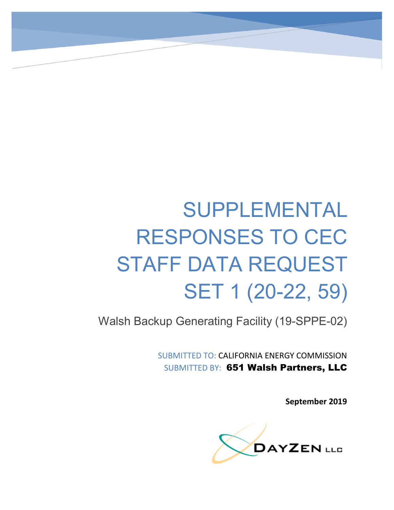# SUPPLEMENTAL RESPONSES TO CEC STAFF DATA REQUEST SET 1 (20-22, 59)

Walsh Backup Generating Facility (19-SPPE-02)

SUBMITTED TO: CALIFORNIA ENERGY COMMISSION SUBMITTED BY: 651 Walsh Partners, LLC

**September 2019**

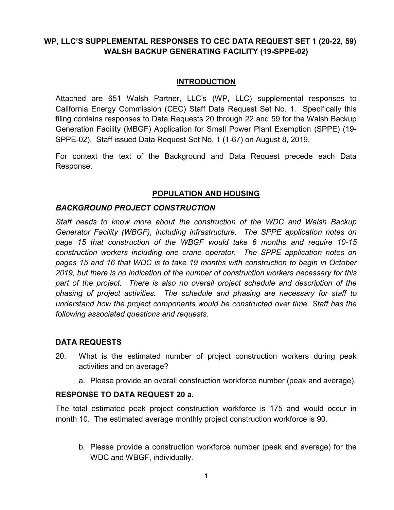# **WP, LLC'S SUPPLEMENTAL RESPONSES TO CEC DATA REQUEST SET 1 (20-22, 59) WALSH BACKUP GENERATING FACILITY (19-SPPE-02)**

#### **INTRODUCTION**

Attached are 651 Walsh Partner, LLC's (WP, LLC) supplemental responses to California Energy Commission (CEC) Staff Data Request Set No. 1. Specifically this filing contains responses to Data Requests 20 through 22 and 59 for the Walsh Backup Generation Facility (MBGF) Application for Small Power Plant Exemption (SPPE) (19- SPPE-02). Staff issued Data Request Set No. 1 (1-67) on August 8, 2019.

For context the text of the Background and Data Request precede each Data Response.

# **POPULATION AND HOUSING**

#### *BACKGROUND PROJECT CONSTRUCTION*

*Staff needs to know more about the construction of the WDC and Walsh Backup Generator Facility (WBGF), including infrastructure. The SPPE application notes on page 15 that construction of the WBGF would take 6 months and require 10-15 construction workers including one crane operator. The SPPE application notes on pages 15 and 16 that WDC is to take 19 months with construction to begin in October 2019, but there is no indication of the number of construction workers necessary for this part of the project. There is also no overall project schedule and description of the phasing of project activities. The schedule and phasing are necessary for staff to understand how the project components would be constructed over time. Staff has the following associated questions and requests.*

#### **DATA REQUESTS**

- 20. What is the estimated number of project construction workers during peak activities and on average?
	- a. Please provide an overall construction workforce number (peak and average).

#### **RESPONSE TO DATA REQUEST 20 a.**

The total estimated peak project construction workforce is 175 and would occur in month 10. The estimated average monthly project construction workforce is 90.

b. Please provide a construction workforce number (peak and average) for the WDC and WBGF, individually.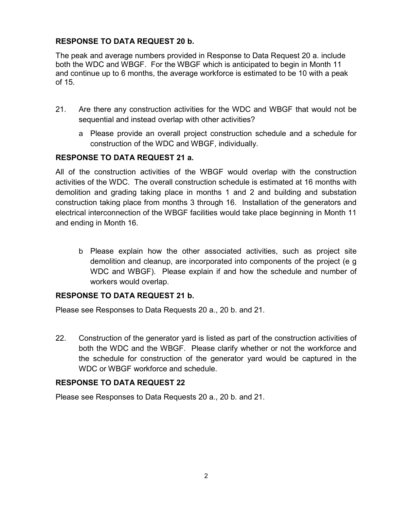# **RESPONSE TO DATA REQUEST 20 b.**

The peak and average numbers provided in Response to Data Request 20 a. include both the WDC and WBGF. For the WBGF which is anticipated to begin in Month 11 and continue up to 6 months, the average workforce is estimated to be 10 with a peak of 15.

- 21. Are there any construction activities for the WDC and WBGF that would not be sequential and instead overlap with other activities?
	- a Please provide an overall project construction schedule and a schedule for construction of the WDC and WBGF, individually.

### **RESPONSE TO DATA REQUEST 21 a.**

All of the construction activities of the WBGF would overlap with the construction activities of the WDC. The overall construction schedule is estimated at 16 months with demolition and grading taking place in months 1 and 2 and building and substation construction taking place from months 3 through 16. Installation of the generators and electrical interconnection of the WBGF facilities would take place beginning in Month 11 and ending in Month 16.

b Please explain how the other associated activities, such as project site demolition and cleanup, are incorporated into components of the project (e g WDC and WBGF). Please explain if and how the schedule and number of workers would overlap.

#### **RESPONSE TO DATA REQUEST 21 b.**

Please see Responses to Data Requests 20 a., 20 b. and 21.

22. Construction of the generator yard is listed as part of the construction activities of both the WDC and the WBGF. Please clarify whether or not the workforce and the schedule for construction of the generator yard would be captured in the WDC or WBGF workforce and schedule.

# **RESPONSE TO DATA REQUEST 22**

Please see Responses to Data Requests 20 a., 20 b. and 21.